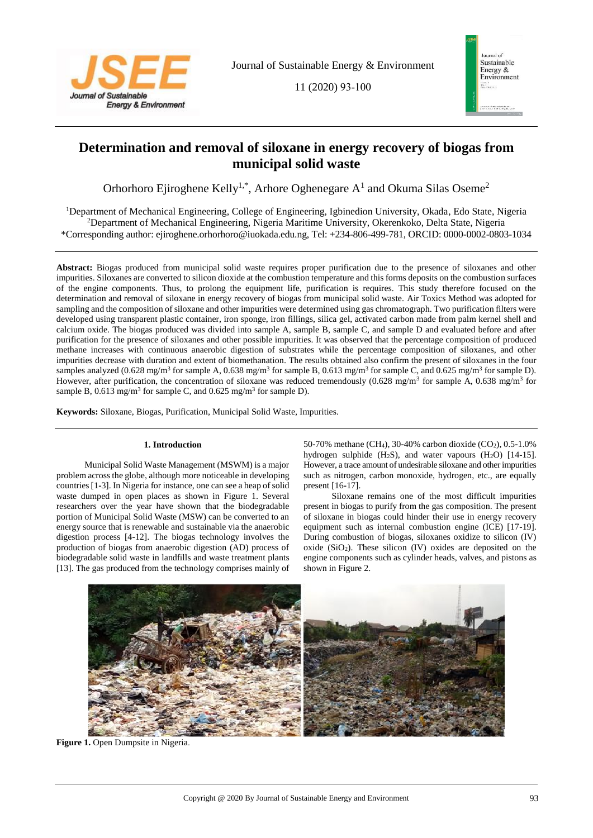

11 (2020) 93-100



# **Determination and removal of siloxane in energy recovery of biogas from municipal solid waste**

Orhorhoro Ejiroghene Kelly<sup>1,\*</sup>, Arhore Oghenegare  $A<sup>1</sup>$  and Okuma Silas Oseme<sup>2</sup>

<sup>1</sup>Department of Mechanical Engineering, College of Engineering, Igbinedion University, Okada, Edo State, Nigeria <sup>2</sup>Department of Mechanical Engineering, Nigeria Maritime University, Okerenkoko, Delta State, Nigeria \*Corresponding author: ejiroghene.orhorhoro@iuokada.edu.ng, Tel: +234-806-499-781, ORCID: 0000-0002-0803-1034

**Abstract:** Biogas produced from municipal solid waste requires proper purification due to the presence of siloxanes and other impurities. Siloxanes are converted to silicon dioxide at the combustion temperature and this forms deposits on the combustion surfaces of the engine components. Thus, to prolong the equipment life, purification is requires. This study therefore focused on the determination and removal of siloxane in energy recovery of biogas from municipal solid waste. Air Toxics Method was adopted for sampling and the composition of siloxane and other impurities were determined using gas chromatograph. Two purification filters were developed using transparent plastic container, iron sponge, iron fillings, silica gel, activated carbon made from palm kernel shell and calcium oxide. The biogas produced was divided into sample A, sample B, sample C, and sample D and evaluated before and after purification for the presence of siloxanes and other possible impurities. It was observed that the percentage composition of produced methane increases with continuous anaerobic digestion of substrates while the percentage composition of siloxanes, and other impurities decrease with duration and extent of biomethanation. The results obtained also confirm the present of siloxanes in the four samples analyzed (0.628 mg/m<sup>3</sup> for sample A, 0.638 mg/m<sup>3</sup> for sample B, 0.613 mg/m<sup>3</sup> for sample C, and 0.625 mg/m<sup>3</sup> for sample D). However, after purification, the concentration of siloxane was reduced tremendously  $(0.628 \text{ mg/m}^3)$  for sample A,  $0.638 \text{ mg/m}^3$  for sample B, 0.613 mg/m<sup>3</sup> for sample C, and 0.625 mg/m<sup>3</sup> for sample D).

**Keywords:** Siloxane, Biogas, Purification, Municipal Solid Waste, Impurities.

# **1. Introduction**

Municipal Solid Waste Management (MSWM) is a major problem across the globe, although more noticeable in developing countries [1**-**3]. In Nigeria for instance, one can see a heap of solid waste dumped in open places as shown in Figure 1. Several researchers over the year have shown that the biodegradable portion of Municipal Solid Waste (MSW) can be converted to an energy source that is renewable and sustainable via the anaerobic digestion process [4**-**12]. The biogas technology involves the production of biogas from anaerobic digestion (AD) process of biodegradable solid waste in landfills and waste treatment plants [13]. The gas produced from the technology comprises mainly of

50**-**70% methane (CH4), 30**-**40% carbon dioxide (CO2), 0.5**-**1.0% hydrogen sulphide (H2S), and water vapours (H2O) [14**-**15]. However, a trace amount of undesirable siloxane and other impurities such as nitrogen, carbon monoxide, hydrogen, etc., are equally present [16**-**17].

Siloxane remains one of the most difficult impurities present in biogas to purify from the gas composition. The present of siloxane in biogas could hinder their use in energy recovery equipment such as internal combustion engine (ICE) [17**-**19]. During combustion of biogas, siloxanes oxidize to silicon (IV) oxide  $(SiO<sub>2</sub>)$ . These silicon  $(IV)$  oxides are deposited on the engine components such as cylinder heads, valves, and pistons as shown in Figure 2.



**Figure 1.** Open Dumpsite in Nigeria.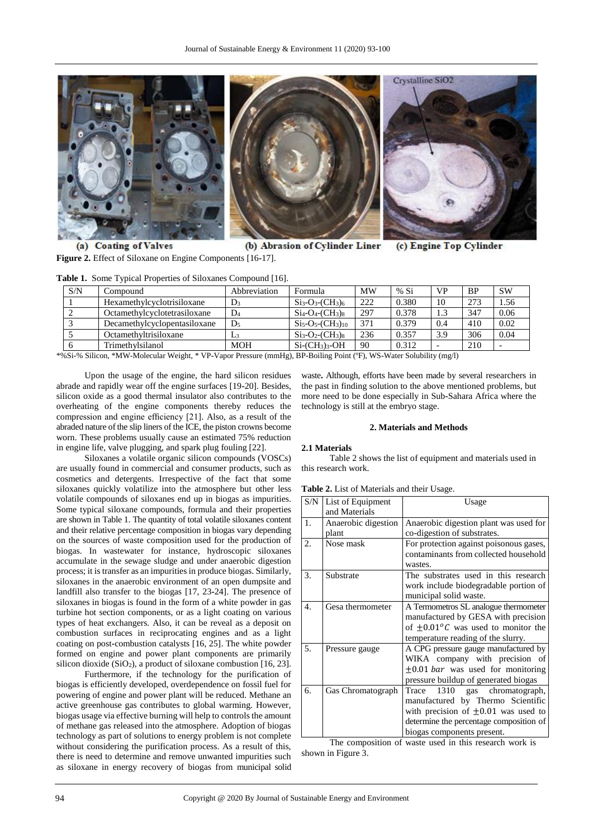

(a) Coating of Valves (b) Abrasion of Cylinder Liner (c) Engine Top Cylinder **Figure 2.** Effect of Siloxane on Engine Components [16**-**17].

| S/N | Compound                     | Abbreviation   | Formula                            | <b>MW</b>       | % Si  | <b>VP</b> | <b>BP</b> | <b>SW</b> |
|-----|------------------------------|----------------|------------------------------------|-----------------|-------|-----------|-----------|-----------|
|     | Hexamethylcyclotrisiloxane   | $D_3$          | $Si3-O3-(CH3)6$                    | 222             | 0.380 | 10        | 273       | 1.56      |
|     | Octamethylcyclotetrasiloxane | $\mathbf{D}_4$ | $Si_4-O_4$ - $CH_3$ ) <sub>8</sub> | 297             | 0.378 |           | 347       | 0.06      |
|     | Decamethylcyclopentasiloxane | $\mathbf{D}_5$ | $Si5-O5-(CH3)10$                   | 37 <sup>1</sup> | 0.379 | 0.4       | 410       | 0.02      |
|     | Octamethyltrisiloxane        | L3             | $Si3-O2(CH3)8$                     | 236             | 0.357 | 3.9       | 306       | 0.04      |
|     | Trimethylsilanol             | <b>MOH</b>     | $Si$ - $CH_3$ <sub>3</sub> - $OH$  | 90              | 0.312 |           | 210       |           |

\*%Si-% Silicon, \*MW-Molecular Weight, \* VP**-**Vapor Pressure (mmHg), BP**-**Boiling Point (ºF), WS**-**Water Solubility (mg/l)

Upon the usage of the engine, the hard silicon residues abrade and rapidly wear off the engine surfaces [19**-**20]. Besides, silicon oxide as a good thermal insulator also contributes to the overheating of the engine components thereby reduces the compression and engine efficiency [21]. Also, as a result of the abraded nature of the slip liners of the ICE, the piston crowns become worn. These problems usually cause an estimated 75% reduction in engine life, valve plugging, and spark plug fouling [22].

Siloxanes a volatile organic silicon compounds (VOSCs) are usually found in commercial and consumer products, such as cosmetics and detergents. Irrespective of the fact that some siloxanes quickly volatilize into the atmosphere but other less volatile compounds of siloxanes end up in biogas as impurities. Some typical siloxane compounds, formula and their properties are shown in Table 1. The quantity of total volatile siloxanes content and their relative percentage composition in biogas vary depending on the sources of waste composition used for the production of biogas. In wastewater for instance, hydroscopic siloxanes accumulate in the sewage sludge and under anaerobic digestion process; it is transfer as an impurities in produce biogas. Similarly, siloxanes in the anaerobic environment of an open dumpsite and landfill also transfer to the biogas [17, 23**-**24]. The presence of siloxanes in biogas is found in the form of a white powder in gas turbine hot section components, or as a light coating on various types of heat exchangers. Also, it can be reveal as a deposit on combustion surfaces in reciprocating engines and as a light coating on post**-**combustion catalysts [16, 25]. The white powder formed on engine and power plant components are primarily silicon dioxide (SiO<sub>2</sub>), a product of siloxane combustion [16, 23].

Furthermore, if the technology for the purification of biogas is efficiently developed, overdependence on fossil fuel for powering of engine and power plant will be reduced. Methane an active greenhouse gas contributes to global warming. However, biogas usage via effective burning will help to controls the amount of methane gas released into the atmosphere. Adoption of biogas technology as part of solutions to energy problem is not complete without considering the purification process. As a result of this, there is need to determine and remove unwanted impurities such as siloxane in energy recovery of biogas from municipal solid waste**.** Although, efforts have been made by several researchers in the past in finding solution to the above mentioned problems, but more need to be done especially in Sub**-**Sahara Africa where the technology is still at the embryo stage.

#### **2. Materials and Methods**

#### **2.1 Materials**

Table 2 shows the list of equipment and materials used in this research work.

**Table 2.** List of Materials and their Usage.

| S/N | List of Equipment   | Usage                                         |  |  |
|-----|---------------------|-----------------------------------------------|--|--|
|     | and Materials       |                                               |  |  |
| 1.  | Anaerobic digestion | Anaerobic digestion plant was used for        |  |  |
|     | plant               | co-digestion of substrates.                   |  |  |
| 2.  | Nose mask           | For protection against poisonous gases,       |  |  |
|     |                     | contaminants from collected household         |  |  |
|     |                     | wastes.                                       |  |  |
| 3.  | Substrate           | The substrates used in this research          |  |  |
|     |                     | work include biodegradable portion of         |  |  |
|     |                     | municipal solid waste.                        |  |  |
| 4.  | Gesa thermometer    | A Termometros SL analogue thermometer         |  |  |
|     |                     | manufactured by GESA with precision           |  |  |
|     |                     | of $\pm 0.01^{\circ}$ was used to monitor the |  |  |
|     |                     | temperature reading of the slurry.            |  |  |
| 5.  | Pressure gauge      | A CPG pressure gauge manufactured by          |  |  |
|     |                     | WIKA company with precision of                |  |  |
|     |                     | $\pm 0.01$ <i>bar</i> was used for monitoring |  |  |
|     |                     | pressure buildup of generated biogas          |  |  |
| 6.  | Gas Chromatograph   | Trace 1310 gas chromatograph,                 |  |  |
|     |                     | manufactured by Thermo Scientific             |  |  |
|     |                     | with precision of $\pm 0.01$ was used to      |  |  |
|     |                     | determine the percentage composition of       |  |  |
|     |                     | biogas components present.                    |  |  |

The composition of waste used in this research work is shown in Figure 3.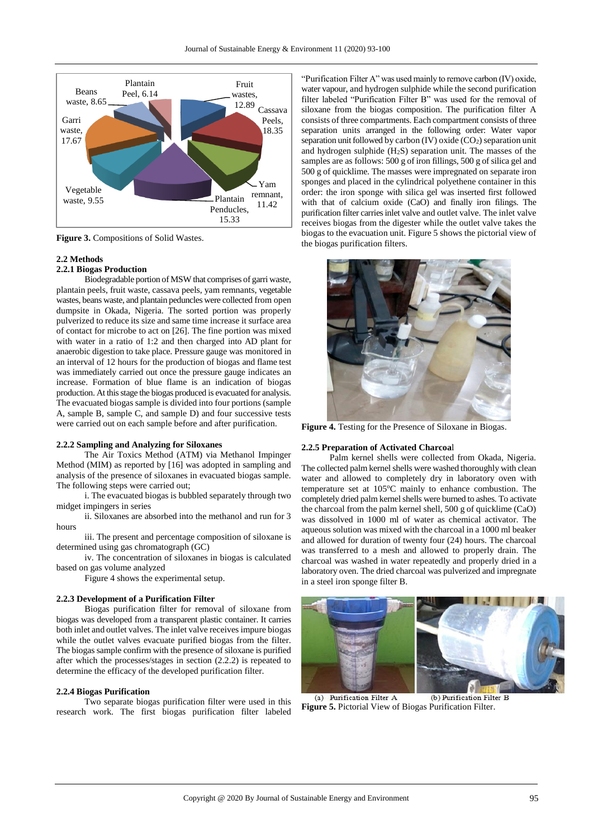

**Figure 3.** Compositions of Solid Wastes.

# **2.2 Methods**

# **2.2.1 Biogas Production**

Biodegradable portion of MSW that comprises of garri waste, plantain peels, fruit waste, cassava peels, yam remnants, vegetable wastes, beans waste, and plantain peduncles were collected from open dumpsite in Okada, Nigeria. The sorted portion was properly pulverized to reduce its size and same time increase it surface area of contact for microbe to act on [26]. The fine portion was mixed with water in a ratio of 1:2 and then charged into AD plant for anaerobic digestion to take place. Pressure gauge was monitored in an interval of 12 hours for the production of biogas and flame test was immediately carried out once the pressure gauge indicates an increase. Formation of blue flame is an indication of biogas production. At this stage the biogas produced is evacuated for analysis. The evacuated biogas sample is divided into four portions (sample A, sample B, sample C, and sample D) and four successive tests were carried out on each sample before and after purification.

# **2.2.2 Sampling and Analyzing for Siloxanes**

The Air Toxics Method (ATM) via Methanol Impinger Method (MIM) as reported by [16] was adopted in sampling and analysis of the presence of siloxanes in evacuated biogas sample. The following steps were carried out;

i. The evacuated biogas is bubbled separately through two midget impingers in series

ii. Siloxanes are absorbed into the methanol and run for 3 hours

iii. The present and percentage composition of siloxane is determined using gas chromatograph (GC)

iv. The concentration of siloxanes in biogas is calculated based on gas volume analyzed

Figure 4 shows the experimental setup.

#### **2.2.3 Development of a Purification Filter**

Biogas purification filter for removal of siloxane from biogas was developed from a transparent plastic container. It carries both inlet and outlet valves. The inlet valve receives impure biogas while the outlet valves evacuate purified biogas from the filter. The biogas sample confirm with the presence of siloxane is purified after which the processes/stages in section (2.2.2) is repeated to determine the efficacy of the developed purification filter.

#### **2.2.4 Biogas Purification**

Two separate biogas purification filter were used in this research work. The first biogas purification filter labeled "Purification Filter A" was used mainly to remove carbon (IV) oxide, water vapour, and hydrogen sulphide while the second purification filter labeled "Purification Filter B" was used for the removal of siloxane from the biogas composition. The purification filter A consists of three compartments. Each compartment consists of three separation units arranged in the following order: Water vapor separation unit followed by carbon (IV) oxide  $(CO<sub>2</sub>)$  separation unit and hydrogen sulphide  $(H_2S)$  separation unit. The masses of the samples are as follows: 500 g of iron fillings, 500 g of silica gel and 500 g of quicklime. The masses were impregnated on separate iron sponges and placed in the cylindrical polyethene container in this order: the iron sponge with silica gel was inserted first followed with that of calcium oxide (CaO) and finally iron filings. The purification filter carries inlet valve and outlet valve. The inlet valve receives biogas from the digester while the outlet valve takes the biogas to the evacuation unit. Figure 5 shows the pictorial view of the biogas purification filters.



**Figure 4.** Testing for the Presence of Siloxane in Biogas.

# **2.2.5 Preparation of Activated Charcoa**l

Palm kernel shells were collected from Okada, Nigeria. The collected palm kernel shells were washed thoroughly with clean water and allowed to completely dry in laboratory oven with temperature set at  $105^{\circ}$ C mainly to enhance combustion. The completely dried palm kernel shells were burned to ashes. To activate the charcoal from the palm kernel shell, 500 g of quicklime (CaO) was dissolved in 1000 ml of water as chemical activator. The aqueous solution was mixed with the charcoal in a 1000 ml beaker and allowed for duration of twenty four (24) hours. The charcoal was transferred to a mesh and allowed to properly drain. The charcoal was washed in water repeatedly and properly dried in a laboratory oven. The dried charcoal was pulverized and impregnate in a steel iron sponge filter B.



(a) Purification Filter A (b) Purification Filter B **Figure 5.** Pictorial View of Biogas Purification Filter.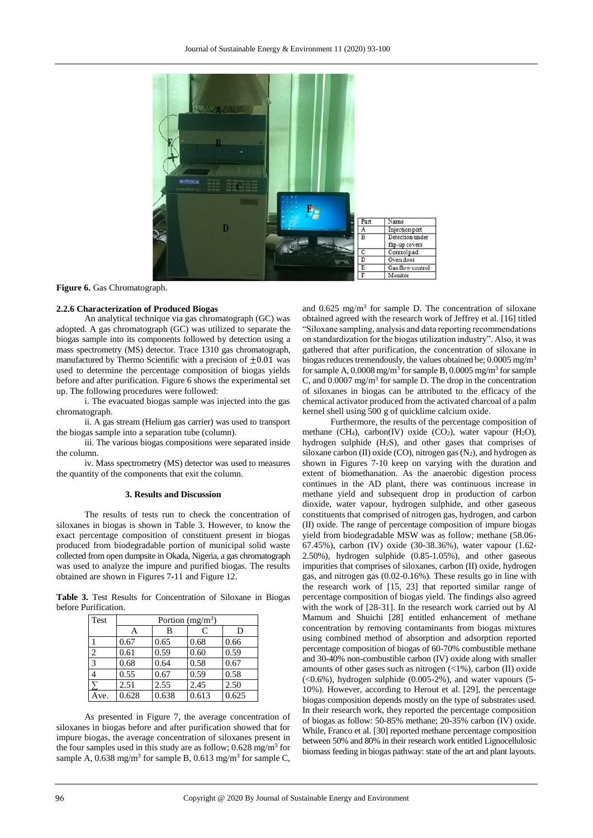

Figure 6. Gas Chromatograph.

### **2.2.6 Characterization of Produced Biogas**

An analytical technique via gas chromatograph (GC) was adopted. A gas chromatograph (GC) was utilized to separate the biogas sample into its components followed by detection using a mass spectrometry (MS) detector. Trace 1310 gas chromatograph, manufactured by Thermo Scientific with a precision of  $\pm 0.01$  was used to determine the percentage composition of biogas yields before and after purification. Figure 6 shows the experimental set up. The following procedures were followed:

i. The evacuated biogas sample was injected into the gas chromatograph.

ii. A gas stream (Helium gas carrier) was used to transport the biogas sample into a separation tube (column).

iii. The various biogas compositions were separated inside the column.

iv. Mass spectrometry (MS) detector was used to measures the quantity of the components that exit the column.

## **3. Results and Discussion**

The results of tests run to check the concentration of siloxanes in biogas is shown in Table 3. However, to know the exact percentage composition of constituent present in biogas produced from biodegradable portion of municipal solid waste collected from open dumpsite in Okada, Nigeria, a gas chromatograph was used to analyze the impure and purified biogas. The results obtained are shown in Figures 7**-**11 and Figure 12.

**Table 3.** Test Results for Concentration of Siloxane in Biogas before Purification.

| Test           | Portion $(mg/m^3)$ |       |       |       |  |  |  |  |
|----------------|--------------------|-------|-------|-------|--|--|--|--|
|                | А                  | B     | C     | D     |  |  |  |  |
|                | 0.67               | 0.65  | 0.68  | 0.66  |  |  |  |  |
| $\overline{2}$ | 0.61               | 0.59  | 0.60  | 0.59  |  |  |  |  |
| 3              | 0.68               | 0.64  | 0.58  | 0.67  |  |  |  |  |
| $\overline{4}$ | 0.55               | 0.67  | 0.59  | 0.58  |  |  |  |  |
|                | 2.51               | 2.55  | 2.45  | 2.50  |  |  |  |  |
| Ave.           | 0.628              | 0.638 | 0.613 | 0.625 |  |  |  |  |

As presented in Figure 7, the average concentration of siloxanes in biogas before and after purification showed that for impure biogas, the average concentration of siloxanes present in the four samples used in this study are as follow;  $0.628 \text{ mg/m}^3$  for sample A,  $0.638$  mg/m<sup>3</sup> for sample B,  $0.613$  mg/m<sup>3</sup> for sample C, and 0.625 mg/m<sup>3</sup> for sample D. The concentration of siloxane obtained agreed with the research work of Jeffrey et al. [16] titled "Siloxane sampling, analysis and data reporting recommendations on standardization for the biogas utilization industry". Also, it was gathered that after purification, the concentration of siloxane in biogas reduces tremendously, the values obtained be; 0.0005 mg/m<sup>3</sup> for sample A,  $0.0008$  mg/m<sup>3</sup> for sample B,  $0.0005$  mg/m<sup>3</sup> for sample C, and  $0.0007 \text{ mg/m}^3$  for sample D. The drop in the concentration of siloxanes in biogas can be attributed to the efficacy of the chemical activator produced from the activated charcoal of a palm kernel shell using 500 g of quicklime calcium oxide.

Furthermore, the results of the percentage composition of methane (CH<sub>4</sub>), carbon(IV) oxide (CO<sub>2</sub>), water vapour (H<sub>2</sub>O), hydrogen sulphide (H2S), and other gases that comprises of siloxane carbon (II) oxide (CO), nitrogen gas  $(N_2)$ , and hydrogen as shown in Figures 7-10 keep on varying with the duration and extent of biomethanation. As the anaerobic digestion process continues in the AD plant, there was continuous increase in methane yield and subsequent drop in production of carbon dioxide, water vapour, hydrogen sulphide, and other gaseous constituents that comprised of nitrogen gas, hydrogen, and carbon (II) oxide. The range of percentage composition of impure biogas yield from biodegradable MSW was as follow; methane (58.06- 67.45%), carbon (IV) oxide (30-38.36%), water vapour (1.62- 2.50%), hydrogen sulphide (0.85-1.05%), and other gaseous impurities that comprises of siloxanes, carbon (II) oxide, hydrogen gas, and nitrogen gas (0.02-0.16%). These results go in line with the research work of [15, 23] that reported similar range of percentage composition of biogas yield. The findings also agreed with the work of [28-31]. In the research work carried out by Al Mamum and Shuichi [28] entitled enhancement of methane concentration by removing contaminants from biogas mixtures using combined method of absorption and adsorption reported percentage composition of biogas of 60-70% combustible methane and 30-40% non-combustible carbon (IV) oxide along with smaller amounts of other gases such as nitrogen (<1%), carbon (II) oxide  $(<0.6\%)$ , hydrogen sulphide  $(0.005-2\%)$ , and water vapours  $(5-$ 10%). However, according to Herout et al. [29], the percentage biogas composition depends mostly on the type of substrates used. In their research work, they reported the percentage composition of biogas as follow: 50-85% methane; 20-35% carbon (IV) oxide. While, Franco et al. [30] reported methane percentage composition between 50% and 80% in their research work entitled Lignocellulosic biomass feeding in biogas pathway: state of the art and plant layouts.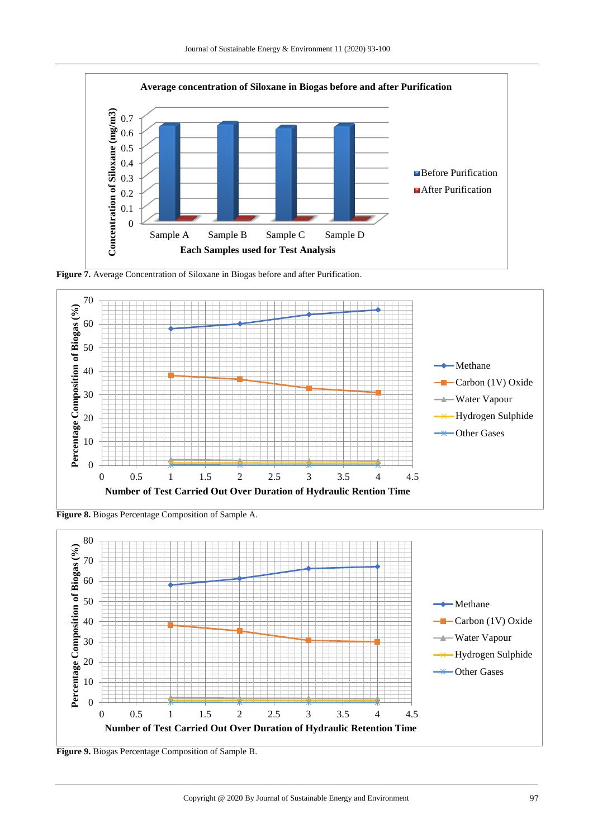

**Figure 7.** Average Concentration of Siloxane in Biogas before and after Purification.



**Figure 8.** Biogas Percentage Composition of Sample A.



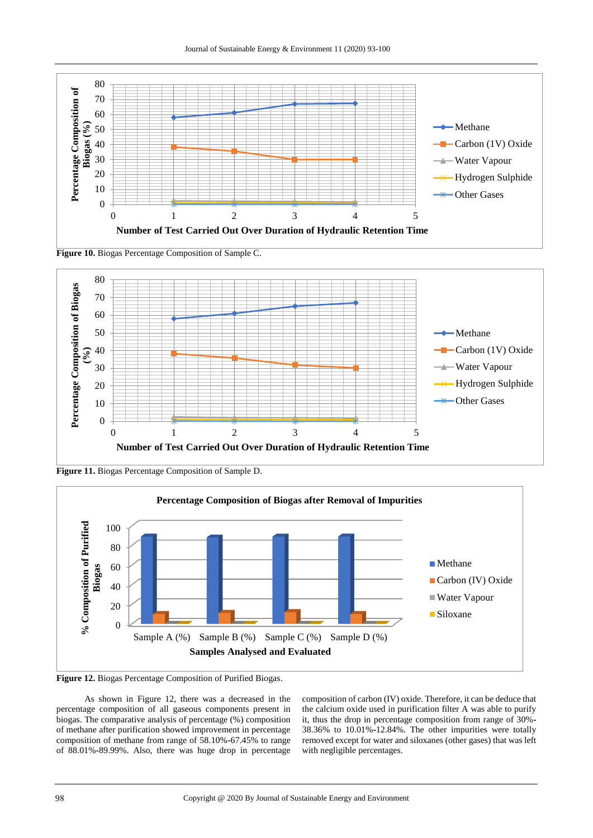Journal of Sustainable Energy & Environment 11 (2020) 93-100



**Figure 10.** Biogas Percentage Composition of Sample C.



**Figure 11.** Biogas Percentage Composition of Sample D.



**Figure 12.** Biogas Percentage Composition of Purified Biogas.

As shown in Figure 12, there was a decreased in the percentage composition of all gaseous components present in biogas. The comparative analysis of percentage (%) composition of methane after purification showed improvement in percentage composition of methane from range of 58.10%**-**67.45% to range of 88.01%**-**89.99%. Also, there was huge drop in percentage

composition of carbon (IV) oxide. Therefore, it can be deduce that the calcium oxide used in purification filter A was able to purify it, thus the drop in percentage composition from range of 30%**-** 38.36% to 10.01%**-**12.84%. The other impurities were totally removed except for water and siloxanes (other gases) that was left with negligible percentages.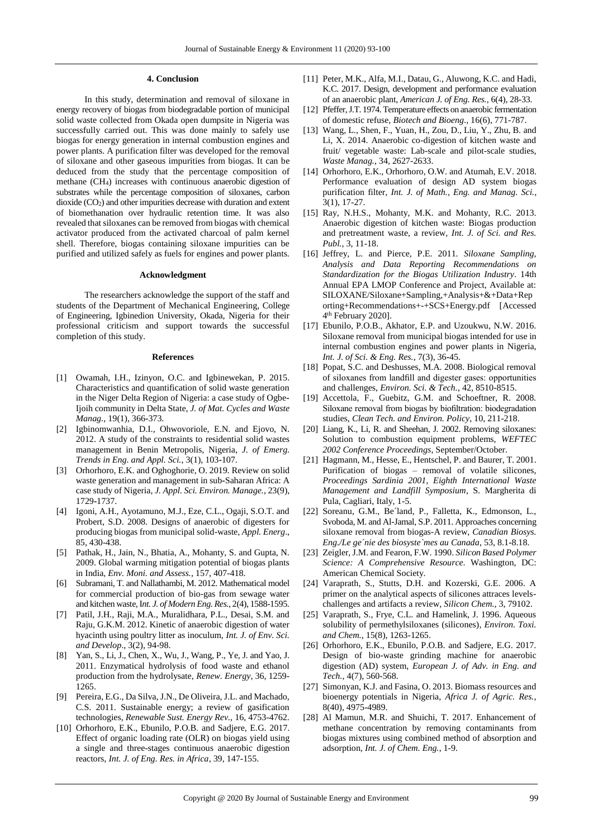#### **4. Conclusion**

In this study, determination and removal of siloxane in energy recovery of biogas from biodegradable portion of municipal solid waste collected from Okada open dumpsite in Nigeria was successfully carried out. This was done mainly to safely use biogas for energy generation in internal combustion engines and power plants. A purification filter was developed for the removal of siloxane and other gaseous impurities from biogas. It can be deduced from the study that the percentage composition of methane (CH4) increases with continuous anaerobic digestion of substrates while the percentage composition of siloxanes, carbon dioxide (CO2) and other impurities decrease with duration and extent of biomethanation over hydraulic retention time. It was also revealed that siloxanes can be removed from biogas with chemical activator produced from the activated charcoal of palm kernel shell. Therefore, biogas containing siloxane impurities can be purified and utilized safely as fuels for engines and power plants.

#### **Acknowledgment**

The researchers acknowledge the support of the staff and students of the Department of Mechanical Engineering, College of Engineering, Igbinedion University, Okada, Nigeria for their professional criticism and support towards the successful completion of this study.

#### **References**

- [1] Owamah, I.H., Izinyon, O.C. and Igbinewekan, P. 2015. Characteristics and quantification of solid waste generation in the Niger Delta Region of Nigeria: a case study of Ogbe**-**Ijoih community in Delta State, *J. of Mat. Cycles and Waste Manag.*, 19(1), 366**-**373.
- [2] Igbinomwanhia, D.I., Ohwovoriole, E.N. and Ejovo, N. 2012. A study of the constraints to residential solid wastes management in Benin Metropolis, Nigeria, *J. of Emerg. Trends in Eng. and Appl. Sci.*, 3(1), 103**-**107.
- [3] Orhorhoro, E.K. and Oghoghorie, O. 2019. Review on solid waste generation and management in sub**-**Saharan Africa: A case study of Nigeria, *J. Appl. Sci. Environ. Manage.*, 23(9), 1729**-**1737.
- [4] Igoni, A.H., Ayotamuno, M.J., Eze, C.L., Ogaji, S.O.T. and Probert, S.D. 2008. Designs of anaerobic of digesters for producing biogas from municipal solid-waste, *Appl. Energ*., 85, 430-438.
- [5] Pathak, H., Jain, N., Bhatia, A., Mohanty, S. and Gupta, N. 2009. Global warming mitigation potential of biogas plants in India, *Env. Moni. and Assess.*, 157, 407-418.
- [6] Subramani, T. and Nallathambi, M. 2012. Mathematical model for commercial production of bio-gas from sewage water and kitchen waste, I*nt. J. of Modern Eng. Res.*, 2(4), 1588-1595.
- [7] Patil, J.H., Raji, M.A., Muralidhara, P.L., Desai, S.M. and Raju, G.K.M. 2012. Kinetic of anaerobic digestion of water hyacinth using poultry litter as inoculum, *Int. J. of Env. Sci. and Develop*., 3(2), 94-98.
- [8] Yan, S., Li, J., Chen, X., Wu, J., Wang, P., Ye, J. and Yao, J. 2011. Enzymatical hydrolysis of food waste and ethanol production from the hydrolysate, *Renew. Energy*, 36, 1259- 1265.
- [9] Pereira, E.G., Da Silva, J.N., De Oliveira, J.L. and Machado, C.S. 2011. Sustainable energy; a review of gasification technologies, *Renewable Sust. Energy Rev.*, 16, 4753-4762.
- [10] Orhorhoro, E.K., Ebunilo, P.O.B. and Sadjere, E.G. 2017. Effect of organic loading rate (OLR) on biogas yield using a single and three-stages continuous anaerobic digestion reactors, *Int. J. of Eng. Res. in Africa*, 39, 147-155.
- [11] Peter, M.K., Alfa, M.I., Datau, G., Aluwong, K.C. and Hadi, K.C. 2017. Design, development and performance evaluation of an anaerobic plant, *American J. of Eng. Res.*, 6(4), 28-33.
- [12] Pfeffer, J.T. 1974. Temperature effects on anaerobic fermentation of domestic refuse, *Biotech and Bioeng*., 16(6), 771-787.
- [13] Wang, L., Shen, F., Yuan, H., Zou, D., Liu, Y., Zhu, B. and Li, X. 2014. Anaerobic co-digestion of kitchen waste and fruit/ vegetable waste: Lab-scale and pilot-scale studies, *Waste Manag.*, 34, 2627-2633.
- [14] Orhorhoro, E.K., Orhorhoro, O.W. and Atumah, E.V. 2018. Performance evaluation of design AD system biogas purification filter, *Int. J. of Math., Eng. and Manag. Sci.*, 3(1), 17-27.
- [15] Ray, N.H.S., Mohanty, M.K. and Mohanty, R.C. 2013. Anaerobic digestion of kitchen waste: Biogas production and pretreatment waste, a review, *Int. J. of Sci. and Res. Publ.*, 3, 11-18.
- [16] Jeffrey, L. and Pierce, P.E. 2011. *Siloxane Sampling, Analysis and Data Reporting Recommendations on Standardization for the Biogas Utilization Industry*. 14th Annual EPA LMOP Conference and Project, Available at: SILOXANE/Siloxane+Sampling,+Analysis+&+Data+Rep orting+Recommendations+-+SCS+Energy.pdf [Accessed 4 th February 2020].
- [17] Ebunilo, P.O.B., Akhator, E.P. and Uzoukwu, N.W. 2016. Siloxane removal from municipal biogas intended for use in internal combustion engines and power plants in Nigeria, *Int. J. of Sci. & Eng. Res.*, 7(3), 36**-**45.
- [18] Popat, S.C. and Deshusses, M.A. 2008. Biological removal of siloxanes from landfill and digester gases: opportunities and challenges, *Environ. Sci. & Tech.*, 42, 8510-8515.
- [19] Accettola, F., Guebitz, G.M. and Schoeftner, R. 2008. Siloxane removal from biogas by biofiltration: biodegradation studies, *Clean Tech. and Environ. Policy*, 10, 211-218.
- [20] Liang, K., Li, R. and Sheehan, J. 2002. Removing siloxanes: Solution to combustion equipment problems, *WEFTEC 2002 Conference Proceedings*, September/October.
- [21] Hagmann, M., Hesse, E., Hentschel, P. and Baurer, T. 2001. Purification of biogas – removal of volatile silicones, *Proceedings Sardinia 2001, Eighth International Waste Management and Landfill Symposium*, S. Margherita di Pula, Cagliari, Italy, 1-5.
- [22] Soreanu, G.M., Be<sup> $1$ </sup>and, P., Falletta, K., Edmonson, L., Svoboda, M. and Al-Jamal, S.P. 2011. Approaches concerning siloxane removal from biogas-A review, *Canadian Biosys. Eng./Le ge´nie des biosyste`mes au Canada*, 53, 8.1**-**8.18.
- [23] Zeigler, J.M. and Fearon, F.W. 1990. *Silicon Based Polymer Science: A Comprehensive Resource*. Washington, DC: American Chemical Society.
- [24] Varaprath, S., Stutts, D.H. and Kozerski, G.E. 2006. A primer on the analytical aspects of silicones attraces levelschallenges and artifacts a review, *Silicon Chem.*, 3, 79102.
- [25] Varaprath, S., Frye, C.L. and Hamelink, J. 1996. Aqueous solubility of permethylsiloxanes (silicones), *Environ. Toxi. and Chem.*, 15(8), 1263-1265.
- [26] Orhorhoro, E.K., Ebunilo, P.O.B. and Sadjere, E.G. 2017. Design of bio-waste grinding machine for anaerobic digestion (AD) system, *European J. of Adv. in Eng. and Tech.*, 4(7), 560-568.
- [27] Simonyan, K.J. and Fasina, O. 2013. Biomass resources and bioenergy potentials in Nigeria, *Africa J. of Agric. Res.*, 8(40), 4975-4989.
- [28] Al Mamun, M.R. and Shuichi, T. 2017. Enhancement of methane concentration by removing contaminants from biogas mixtures using combined method of absorption and adsorption, *Int. J. of Chem. Eng.*, 1-9.